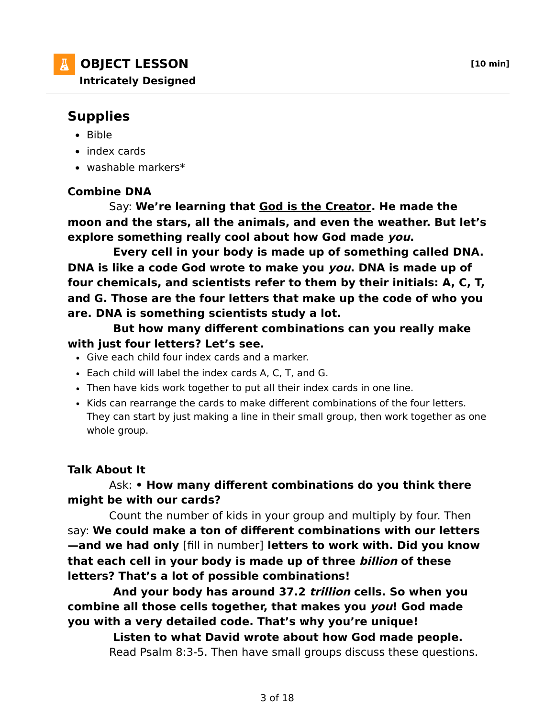

## **Supplies**

- $-Bible$
- index cards
- $\bullet$  washable markers\*

## **Combine DNA**

 Say: **We're learning that God is the Creator. He made the moon and the stars, all the animals, and even the weather. But let's explore something really cool about how God made you.**

 **Every cell in your body is made up of something called DNA. DNA is like a code God wrote to make you you. DNA is made up of four chemicals, and scientists refer to them by their initials: A, C, T, and G. Those are the four letters that make up the code of who you are. DNA is something scientists study a lot.**

 **But how many different combinations can you really make with just four letters? Let's see.**

- Give each child four index cards and a marker.
- Each child will label the index cards A, C, T, and G.
- Then have kids work together to put all their index cards in one line.
- Kids can rearrange the cards to make different combinations of the four letters. They can start by just making a line in their small group, then work together as one whole group.

## **Talk About It**

## Ask: **• How many different combinations do you think there might be with our cards?**

 Count the number of kids in your group and multiply by four. Then say: **We could make a ton of different combinations with our letters —and we had only** [fill in number] **letters to work with. Did you know that each cell in your body is made up of three billion of these letters? That's a lot of possible combinations!**

 **And your body has around 37.2 trillion cells. So when you combine all those cells together, that makes you you! God made you with a very detailed code. That's why you're unique!**

 **Listen to what David wrote about how God made people.** Read Psalm 8:3-5. Then have small groups discuss these questions.